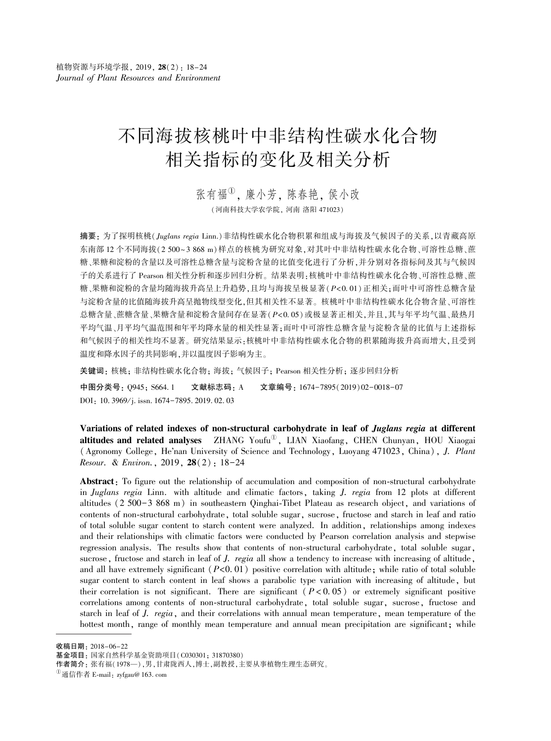# 不同海拔核桃叶中非结构性碳水化合物 相关指标的变化及相关分析

张有福<sup>①</sup>,廉小芳,陈春艳,侯小改 (河南科技大学农学院, 河南 洛阳 471023)

摘要: 为了探明核桃(Juglans regia Linn.)非结构性碳水化合物积累和组成与海拔及气候因子的关系,以青藏高原 东南部 12 个不同海拔(2 500~3 868 m)样点的核桃为研究对象,对其叶中非结构性碳水化合物、可溶性总糖、蔗 糖、果糖和淀粉的含量以及可溶性总糖含量与淀粉含量的比值变化进行了分析,并分别对各指标间及其与气候因 子的关系进行了 Pearson 相关性分析和逐步回归分析。 结果表明:核桃叶中非结构性碳水化合物、可溶性总糖、蔗 糖、果糖和淀粉的含量均随海拔升高呈上升趋势,且均与海拔呈极显著(P<0. 01)正相关;而叶中可溶性总糖含量 与淀粉含量的比值随海拔升高呈抛物线型变化,但其相关性不显著。 核桃叶中非结构性碳水化合物含量、可溶性 总糖含量、蔗糖含量、果糖含量和淀粉含量间存在显著(P<0. 05)或极显著正相关,并且,其与年平均气温、最热月 平均气温、月平均气温范围和年平均降水量的相关性显著;而叶中可溶性总糖含量与淀粉含量的比值与上述指标 和气候因子的相关性均不显著。 研究结果显示:核桃叶中非结构性碳水化合物的积累随海拔升高而增大,且受到 温度和降水因子的共同影响,并以温度因子影响为主。

关键词: 核桃; 非结构性碳水化合物; 海拔; 气候因子; Pearson 相关性分析; 逐步回归分析

中图分类号: Q945; S664. 1 文献标志码: A 文章编号: 1674-7895(2019)02-0018-07 DOI: 10. 3969/j. issn. 1674-7895. 2019. 02. 03

Variations of related indexes of non-structural carbohydrate in leaf of Juglans regia at different altitudes and related analyses ZHANG Youfu<sup>W</sup>, LIAN Xiaofang, CHEN Chunyan, HOU Xiaogai (Agronomy College, He'nan University of Science and Technology, Luoyang 471023, China), J. Plant Resour. & Environ., 2019, 28(2): 18-24

Abstract: To figure out the relationship of accumulation and composition of non-structural carbohydrate in Juglans regia Linn. with altitude and climatic factors, taking J. regia from 12 plots at different altitudes (2 500-3 868 m) in southeastern Qinghai-Tibet Plateau as research object, and variations of contents of non-structural carbohydrate, total soluble sugar, sucrose, fructose and starch in leaf and ratio of total soluble sugar content to starch content were analyzed. In addition, relationships among indexes and their relationships with climatic factors were conducted by Pearson correlation analysis and stepwise regression analysis. The results show that contents of non-structural carbohydrate, total soluble sugar, sucrose, fructose and starch in leaf of J. regia all show a tendency to increase with increasing of altitude, and all have extremely significant  $(P<0.01)$  positive correlation with altitude; while ratio of total soluble sugar content to starch content in leaf shows a parabolic type variation with increasing of altitude, but their correlation is not significant. There are significant  $(P<0.05)$  or extremely significant positive correlations among contents of non-structural carbohydrate, total soluble sugar, sucrose, fructose and starch in leaf of J. regia, and their correlations with annual mean temperature, mean temperature of the hottest month, range of monthly mean temperature and annual mean precipitation are significant; while

收稿日期: 2018-06-22

基金项目: 国家自然科学基金资助项目(C030301; 31870380)

作者简介: 张有福(1978—),男,甘肃陇西人,博士,副教授,主要从事植物生理生态研究。

 ${}^{(1)}$ 通信作者 E-mail: zyfgau@ 163. com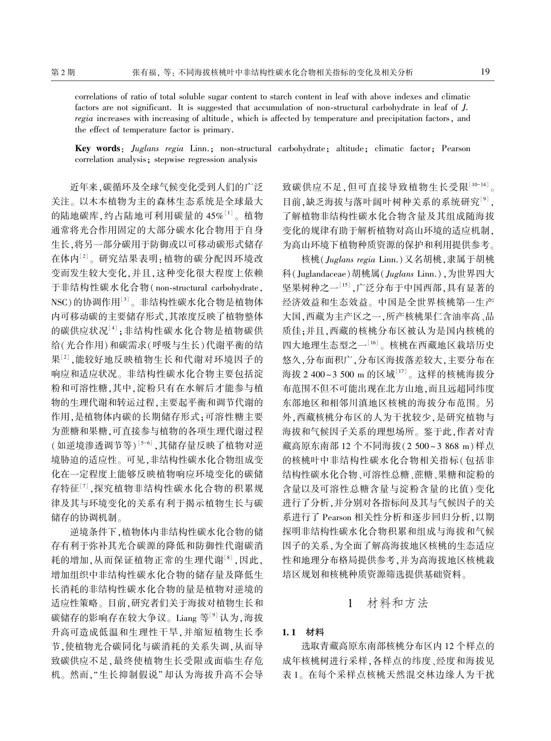correlations of ratio of total soluble sugar content to starch content in leaf with above indexes and climatic factors are not significant. It is suggested that accumulation of non-structural carbohydrate in leaf of J. regia increases with increasing of altitude, which is affected by temperature and precipitation factors, and the effect of temperature factor is primary.

Key words: Juglans regia Linn.; non-structural carbohydrate; altitude; climatic factor; Pearson correlation analysis; stepwise regression analysis

近年来,碳循环及全球气候变化受到人们的广泛 关注。 以木本植物为主的森林生态系统是全球最大 的陆地碳库,约占陆地可利用碳量的 45%[1]。植物 通常将光合作用固定的大部分碳水化合物用于自身 生长,将另一部分碳用于防御或以可移动碳形式储存 在体内'<del>''。研究结果表明:植物的碳分配因环境改</del> 变而发生较大变化,并且,这种变化很大程度上依赖 于非结构性碳水化合物( non-structural carbohydrate, NSC)的协调作用[3] 。 非结构性碳水化合物是植物体 内可移动碳的主要储存形式,其浓度反映了植物整体 的碳供应状况[<sup>4]</sup>;非结构性碳水化合物是植物碳供 给(光合作用)和碳需求(呼吸与生长)代谢平衡的结 <sup>果[2]</sup> ,能较好地反映植物生长和代谢对环境因子的 响应和适应状况。 非结构性碳水化合物主要包括淀 粉和可溶性糖,其中,淀粉只有在水解后才能参与植 物的生理代谢和转运过程,主要起平衡和调节代谢的 作用,是植物体内碳的长期储存形式;可溶性糖主要 为蔗糖和果糖,可直接参与植物的各项生理代谢过程 (如逆境渗透调节等)[5-6],其储存量反映了植物对逆 境胁迫的适应性。 可见,非结构性碳水化合物组成变 化在一定程度上能够反映植物响应环境变化的碳储 存特征[7] ,探究植物非结构性碳水化合物的积累规 律及其与环境变化的关系有利于揭示植物生长与碳 储存的协调机制。

逆境条件下,植物体内非结构性碳水化合物的储 存有利于弥补其光合碳源的降低和防御性代谢碳消 耗的增加,从而保证植物正常的生理代谢[8] ,因此, 增加组织中非结构性碳水化合物的储存量及降低生 长消耗的非结构性碳水化合物的量是植物对逆境的 适应性策略。 目前,研究者们关于海拔对植物生长和 碳储存的影响存在较大争议。Liang 等<sup>[9]</sup> 认为,海拔 升高可造成低温和生理性干旱,并缩短植物生长季 节,使植物光合碳同化与碳消耗的关系失调,从而导 致碳供应不足,最终使植物生长受限或面临生存危 机。 然而,"生长抑制假说" 却认为海拔升高不会导 致碳供应不足,但可直接导致植物生长受限 $^{\left\lfloor 10-14 \right\rfloor}$ 。 目前,缺乏海拔与落叶阔叶树种关系的系统研究<sup>[9]</sup>, 了解植物非结构性碳水化合物含量及其组成随海拔 变化的规律有助于解析植物对高山环境的适应机制, 为高山环境下植物种质资源的保护和利用提供参考。

核桃(Juglans regia Linn.)又名胡桃,隶属于胡桃 科(Juglandaceae)胡桃属(Juglans Linn.),为世界四大 坚果树种之一[15] ,广泛分布于中国西部,具有显著的 经济效益和生态效益。 中国是全世界核桃第一生产 大国,西藏为主产区之一,所产核桃果仁含油率高、品 质佳;并且,西藏的核桃分布区被认为是国内核桃的 四大地理生态型之一<sup>[16]</sup>。核桃在西藏地区栽培历史 悠久,分布面积广,分布区海拔落差较大,主要分布在 海拔 2 400~3 500 m 的区域[17] 。这样的核桃海拔分 布范围不但不可能出现在北方山地,而且远超同纬度 东部地区和相邻川滇地区核桃的海拔分布范围。 另 外,西藏核桃分布区的人为干扰较少,是研究植物与 海拔和气候因子关系的理想场所。 鉴于此,作者对青 藏高原东南部 12 个不同海拔(2 500 ~ 3 868 m)样点 的核桃叶中非结构性碳水化合物相关指标(包括非 结构性碳水化合物、可溶性总糖、蔗糖、果糖和淀粉的 含量以及可溶性总糖含量与淀粉含量的比值) 变化 进行了分析,并分别对各指标间及其与气候因子的关 系进行了 Pearson 相关性分析和逐步回归分析,以期 探明非结构性碳水化合物积累和组成与海拔和气候 因子的关系,为全面了解高海拔地区核桃的生态适应 性和地理分布格局提供参考,并为高海拔地区核桃栽 培区规划和核桃种质资源筛选提供基础资料。

## 1 材料和方法

### 1. 1 材料

选取青藏高原东南部核桃分布区内 12 个样点的 成年核桃树进行采样,各样点的纬度、经度和海拔见 表 1。 在每个采样点核桃天然混交林边缘人为干扰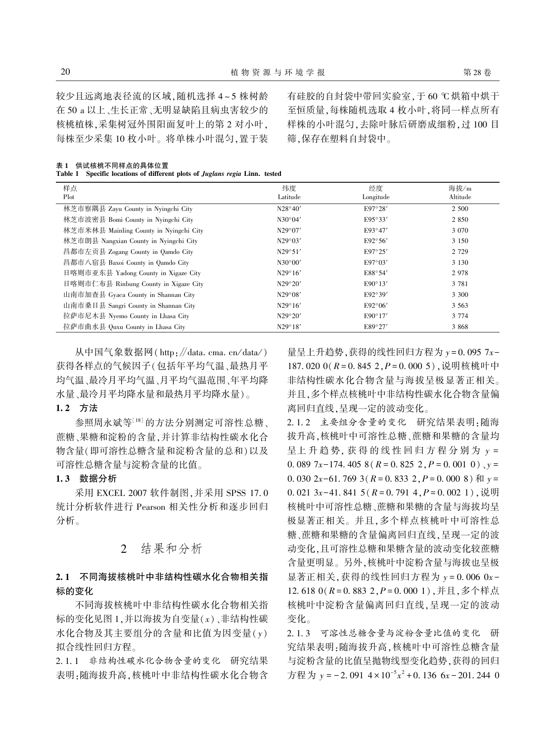较少且远离地表径流的区域,随机选择 4 ~ 5 株树龄 在 50 a 以上、生长正常、无明显缺陷且病虫害较少的 核桃植株,采集树冠外围阳面复叶上的第 2 对小叶, 每株至少采集 10 枚小叶。 将单株小叶混匀,置于装 有硅胶的自封袋中带回实验室,于 60 ℃ 烘箱中烘干 至恒质量,每株随机选取 4 枚小叶,将同一样点所有 样株的小叶混匀,去除叶脉后研磨成细粉,过 100 目 筛,保存在塑料自封袋中。

表 1 供试核桃不同样点的具体位置

Table 1 Specific locations of different plots of Juglans regia Linn. tested

| 样点<br>Plot                              | 纬度<br>Latitude   | 经度<br>Longitude  | 海拔/m<br>Altitude |
|-----------------------------------------|------------------|------------------|------------------|
| 林芝市察隅县 Zayu County in Nyingchi City     | N28°40'          | E97°28'          | 2 500            |
| 林芝市波密县 Bomi County in Nyingchi City     | $N30^{\circ}04'$ | E95°33'          | 2 8 5 0          |
| 林芝市米林县 Mainling County in Nyingchi City | N29°07'          | E93°47'          | 3 0 7 0          |
| 林芝市朗县 Nangxian County in Nyingchi City  | $N29^{\circ}03'$ | E92°56'          | 3 1 5 0          |
| 昌都市左贡县 Zogang County in Qamdo City      | N29°51'          | E97°25'          | 2 7 2 9          |
| 昌都市八宿县 Baxoi County in Qamdo City       | $N30^{\circ}00'$ | $E97^{\circ}03'$ | 3 1 3 0          |
| 日喀则市亚东县 Yadong County in Xigaze City    | $N29^{\circ}16'$ | E88°54'          | 2978             |
| 日喀则市仁布县 Rinbung County in Xigaze City   | N29°20'          | $E90^\circ 13'$  | 3 7 8 1          |
| 山南市加查县 Gyaca County in Shannan City     | N29°08'          | E92°39'          | 3 300            |
| 山南市桑日县 Sangri County in Shannan City    | $N29^{\circ}16'$ | $E92^{\circ}06'$ | 3 5 6 3          |
| 拉萨市尼木县 Nyemo County in Lhasa City       | N29°20'          | $E90^\circ 17'$  | 3 7 7 4          |
| 拉萨市曲水县 Quxu County in Lhasa City        | $N29^{\circ}18'$ | E89°27'          | 3 8 6 8          |

从中国气象数据网( http:∥data. cma. cn / data / ) 获得各样点的气候因子(包括年平均气温、最热月平 均气温、最冷月平均气温、月平均气温范围、年平均降 水量、最冷月平均降水量和最热月平均降水量)。

### 1. 2 方法

参照周永斌等[18] 的方法分别测定可溶性总糖、 蔗糖、果糖和淀粉的含量,并计算非结构性碳水化合 物含量(即可溶性总糖含量和淀粉含量的总和)以及 可溶性总糖含量与淀粉含量的比值。

## 1. 3 数据分析

采用 EXCEL 2007 软件制图,并采用 SPSS 17. 0 统计分析软件进行 Pearson 相关性分析和逐步回归 分析。

# 2 结果和分析

## 2. 1 不同海拔核桃叶中非结构性碳水化合物相关指 标的变化

不同海拔核桃叶中非结构性碳水化合物相关指 标的变化见图 1,并以海拔为自变量(x)、非结构性碳 水化合物及其主要组分的含量和比值为因变量( y) 拟合线性回归方程。

2. 1. 1 非结构性碳水化合物含量的变化 研究结果 表明:随海拔升高,核桃叶中非结构性碳水化合物含 量呈上升趋势,获得的线性回归方程为  $v = 0.095$  7 $x -$ 187. 020 0( $R = 0.845$  2, $P = 0.000$  5), 说明核桃叶中 非结构性碳水化合物含量与海拔呈极显著正相关。 并且,多个样点核桃叶中非结构性碳水化合物含量偏 离回归直线,呈现一定的波动变化。

2. 1. 2 主要组分含量的变化 研究结果表明:随海 拔升高,核桃叶中可溶性总糖、蔗糖和果糖的含量均 呈上升趋势, 获得的线性回归方程分别为  $y =$ 0. 089 7x-174. 405 8 ( $R = 0.825$  2,  $P = 0.001$  0),  $y =$ 0. 030 2 $x$ -61. 769 3(R = 0. 833 2, P = 0. 000 8)  $\overline{R}$   $y =$  $0.021$  3x-41.841 5( $R = 0.791$  4,  $P = 0.002$  1), 说明 核桃叶中可溶性总糖、蔗糖和果糖的含量与海拔均呈 极显著正相关。 并且,多个样点核桃叶中可溶性总 糖、蔗糖和果糖的含量偏离回归直线,呈现一定的波 动变化,且可溶性总糖和果糖含量的波动变化较蔗糖 含量更明显。 另外,核桃叶中淀粉含量与海拔也呈极 显著正相关,获得的线性回归方程为  $y = 0.006$   $0x -$ 12. 618 0(R = 0. 883 2,P = 0. 000 1),并且,多个样点 核桃叶中淀粉含量偏离回归直线,呈现一定的波动 变化。

2. 1. 3 可溶性总糖含量与淀粉含量比值的变化 研 究结果表明:随海拔升高,核桃叶中可溶性总糖含量 与淀粉含量的比值呈抛物线型变化趋势,获得的回归 方程为  $y = -2.091 \, 4 \times 10^{-5} x^2 + 0.136 \, 6x - 201.244 \, 0$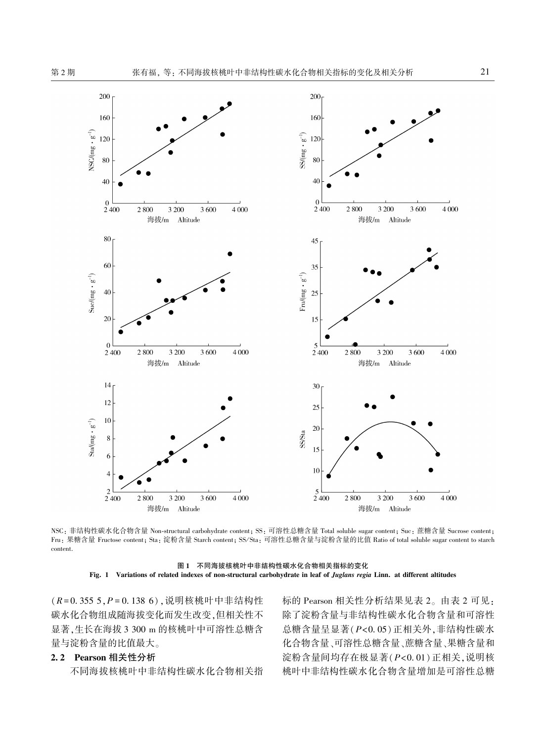$\mathrm{NSC}/\mathrm{(mg} \cdot g^{-1})$ 

 $\operatorname{Suc/(mg} \cdot g^{-1})$ 

Sta/(mg  $\cdot$  g<sup>-1</sup>)



 $\overline{2}$ 2 800 4 0 0 0  $2400$ 2800 3 200 3 600 4 000 2 4 0 0 3 200 3 600 海拔/m Altitude 海拔/m Altitude

NSC: 非结构性碳水化合物含量 Non-structural carbohydrate content; SS: 可溶性总糖含量 Total soluble sugar content; Suc: 蔗糖含量 Sucrose content; Fru: 果糖含量 Fructose content; Sta: 淀粉含量 Starch content; SS/Sta: 可溶性总糖含量与淀粉含量的比值 Ratio of total soluble sugar content to starch content.

图 1 不同海拔核桃叶中非结构性碳水化合物相关指标的变化 Fig. 1 Variations of related indexes of non-structural carbohydrate in leaf of Juglans regia Linn. at different altitudes

(R = 0. 355 5,P = 0. 138 6),说明核桃叶中非结构性 碳水化合物组成随海拔变化而发生改变,但相关性不 显著,生长在海拔 3 300 m 的核桃叶中可溶性总糖含 量与淀粉含量的比值最大。

## 2. 2 Pearson 相关性分析

不同海拔核桃叶中非结构性碳水化合物相关指

标的 Pearson 相关性分析结果见表 2。 由表 2 可见: 除了淀粉含量与非结构性碳水化合物含量和可溶性 总糖含量呈显著(P<0. 05)正相关外,非结构性碳水 化合物含量、可溶性总糖含量、蔗糖含量、果糖含量和 淀粉含量间均存在极显著(P<0. 01)正相关,说明核 桃叶中非结构性碳水化合物含量增加是可溶性总糖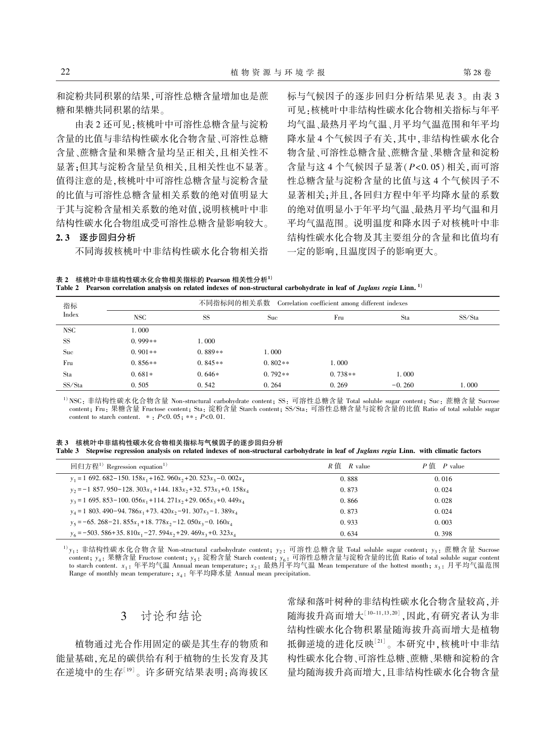和淀粉共同积累的结果,可溶性总糖含量增加也是蔗 糖和果糖共同积累的结果。

由表 2 还可见:核桃叶中可溶性总糖含量与淀粉 含量的比值与非结构性碳水化合物含量、可溶性总糖 含量、蔗糖含量和果糖含量均呈正相关,且相关性不 显著;但其与淀粉含量呈负相关,且相关性也不显著。 值得注意的是,核桃叶中可溶性总糖含量与淀粉含量 的比值与可溶性总糖含量相关系数的绝对值明显大 于其与淀粉含量相关系数的绝对值,说明核桃叶中非 结构性碳水化合物组成受可溶性总糖含量影响较大。

## 2. 3 逐步回归分析

不同海拔核桃叶中非结构性碳水化合物相关指

标与气候因子的逐步回归分析结果见表 3。 由表 3 可见:核桃叶中非结构性碳水化合物相关指标与年平 均气温、最热月平均气温、月平均气温范围和年平均 降水量 4 个气候因子有关,其中,非结构性碳水化合 物含量、可溶性总糖含量、蔗糖含量、果糖含量和淀粉 含量与这 4 个气候因子显著(P<0. 05)相关,而可溶 性总糖含量与淀粉含量的比值与这 4 个气候因子不 显著相关;并且,各回归方程中年平均降水量的系数 的绝对值明显小于年平均气温、最热月平均气温和月 平均气温范围。 说明温度和降水因子对核桃叶中非 结构性碳水化合物及其主要组分的含量和比值均有 一定的影响,且温度因子的影响更大。

表 2 核桃叶中非结构性碳水化合物相关指标的 Pearson 相关性分析1) Table 2 Pearson correlation analysis on related indexes of non-structural carbohydrate in leaf of Juglans regia Linn.<sup>1)</sup>

| 指标<br>Index | 不同指标间的相关系数 Correlation coefficient among different indexes |           |           |           |          |        |  |
|-------------|------------------------------------------------------------|-----------|-----------|-----------|----------|--------|--|
|             | NSC                                                        | <b>SS</b> | Suc       | Fru       | Sta      | SS/Sta |  |
| NSC         | 1.000                                                      |           |           |           |          |        |  |
| <b>SS</b>   | $0.999**$                                                  | 1.000     |           |           |          |        |  |
| Suc         | $0.901**$                                                  | $0.889**$ | 1.000     |           |          |        |  |
| Fru         | $0.856**$                                                  | $0.845**$ | $0.802**$ | 1.000     |          |        |  |
| Sta         | $0.681*$                                                   | $0.646*$  | $0.792**$ | $0.738**$ | 1.000    |        |  |
| SS/Sta      | 0.505                                                      | 0.542     | 0.264     | 0.269     | $-0.260$ | 1.000  |  |

1) NSC: 非结构性碳水化合物含量 Non-structural carbohydrate content; SS: 可溶性总糖含量 Total soluble sugar content; Suc: 蔗糖含量 Sucrose content; Fru: 果糖含量 Fructose content; Sta: 淀粉含量 Starch content; SS/Sta: 可溶性总糖含量与淀粉含量的比值 Ratio of total soluble sugar content to starch content.  $* : P < 0.05; ** : P < 0.01$ .

表 3 核桃叶中非结构性碳水化合物相关指标与气候因子的逐步回归分析 Table 3 Stepwise regression analysis on related indexes of non-structural carbohydrate in leaf of Juglans regia Linn. with climatic factors

| 回归方程 <sup>1)</sup> Regression equation <sup>1)</sup>                           | R 值<br>$R$ value | P佰<br>$P$ value |
|--------------------------------------------------------------------------------|------------------|-----------------|
| $y_1 = 1$ 692, 682-150, 158 $x_1$ +162, 960 $x_2$ +20, 523 $x_2$ -0, 002 $x_4$ | 0.888            | 0.016           |
| $y_2 = -1857.950 - 128.303x_1 + 144.183x_2 + 32.573x_3 + 0.158x_4$             | 0.873            | 0.024           |
| $y_2 = 1$ 695, 853-100, 056 $x_1$ +114, 271 $x_2$ +29, 065 $x_2$ +0, 449 $x_4$ | 0.866            | 0.028           |
| $v_4$ = 1 803, 490-94, 786 $x_1$ +73, 420 $x_2$ -91, 307 $x_3$ -1, 389 $x_4$   | 0.873            | 0.024           |
| $v_5 = -65.268 - 21.855x_1 + 18.778x_2 - 12.050x_3 - 0.160x_4$                 | 0.933            | 0.003           |
| $v_6 = -503.586 + 35.810x_1 - 27.594x_2 + 29.469x_3 + 0.323x_4$                | 0.634            | 0.398           |

<sup>1)</sup>y<sub>1</sub>: 非结构性碳水化合物含量 Non-structural carbohydrate content; y<sub>2</sub>: 可溶性总糖含量 Total soluble sugar content; y<sub>3</sub>: 蔗糖含量 Sucrose content;  $y_4$ : 果糖含量 Fructose content;  $y_5$ : 淀粉含量 Starch content;  $y_6$ : 可溶性总糖含量与淀粉含量的比值 Ratio of total soluble sugar content to starch content.  $x_1$ : 年平均气温 Annual mean temperature;  $x_2$ : 最热月平均气温 Mean temperature of the hottest month;  $x_3$ : 月平均气温范围 Range of monthly mean temperature;  $x_4$ : 年平均降水量 Annual mean precipitation.

# 3 讨论和结论

植物通过光合作用固定的碳是其生存的物质和 能量基础,充足的碳供给有利于植物的生长发育及其 在逆境中的生存[19]。许多研究结果表明:高海拔区

常绿和落叶树种的非结构性碳水化合物含量较高,并 随海拔升高而增大[10-11,13,20] ,因此,有研究者认为非 结构性碳水化合物积累量随海拔升高而增大是植物 抵御逆境的进化反映<sup>[21]</sup>。本研究中,核桃叶中非结 构性碳水化合物、可溶性总糖、蔗糖、果糖和淀粉的含 量均随海拔升高而增大,且非结构性碳水化合物含量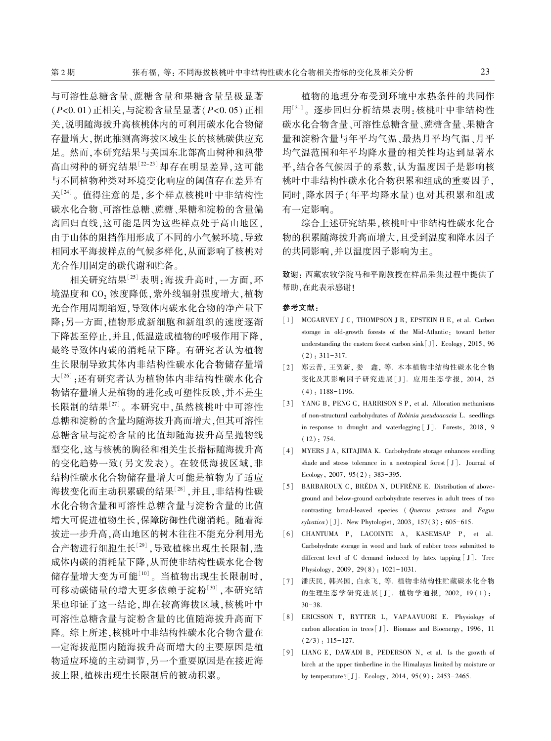与可溶性总糖含量、蔗糖含量和果糖含量呈极显著 (P<0. 01)正相关,与淀粉含量呈显著(P<0. 05)正相 关,说明随海拔升高核桃体内的可利用碳水化合物储 存量增大,据此推测高海拔区域生长的核桃碳供应充 足。 然而,本研究结果与美国东北部高山树种和热带 高山树种的研究结果[22-23] 却存在明显差异,这可能 与不同植物种类对环境变化响应的阈值存在差异有 关<sup>[24]</sup>。值得注意的是,多个样点核桃叶中非结构性 碳水化合物、可溶性总糖、蔗糖、果糖和淀粉的含量偏 离回归直线,这可能是因为这些样点处于高山地区, 由于山体的阻挡作用形成了不同的小气候环境,导致 相同水平海拔样点的气候多样化,从而影响了核桃对 光合作用固定的碳代谢和贮备。

相关研究结果[25] 表明:海拔升高时,一方面,环 境温度和 CO2 浓度降低,紫外线辐射强度增大,植物 光合作用周期缩短,导致体内碳水化合物的净产量下 降;另一方面,植物形成新细胞和新组织的速度逐渐 下降甚至停止,并且,低温造成植物的呼吸作用下降, 最终导致体内碳的消耗量下降。 有研究者认为植物 生长限制导致其体内非结构性碳水化合物储存量增 大[26] ;还有研究者认为植物体内非结构性碳水化合 物储存量增大是植物的进化或可塑性反映,并不是生 长限制的结果<sup>[27]</sup>。本研究中,虽然核桃叶中可溶性 总糖和淀粉的含量均随海拔升高而增大,但其可溶性 总糖含量与淀粉含量的比值却随海拔升高呈抛物线 型变化,这与核桃的胸径和相关生长指标随海拔升高 的变化趋势一致(另文发表)。 在较低海拔区域,非 结构性碳水化合物储存量增大可能是植物为了适应 海拔变化而主动积累碳的结果<sup>[28]</sup> ,并且,非结构性碳 水化合物含量和可溶性总糖含量与淀粉含量的比值 增大可促进植物生长,保障防御性代谢消耗。 随着海 拔进一步升高,高山地区的树木往往不能充分利用光 合产物进行细胞生长[29] ,导致植株出现生长限制,造 成体内碳的消耗量下降,从而使非结构性碳水化合物 储存量增大变为可能<sup>[10]</sup>。当植物出现生长限制时, 可移动碳储量的增大更多依赖于淀粉<sup>[30]</sup> ,本研究结 果也印证了这一结论,即在较高海拔区域,核桃叶中 可溶性总糖含量与淀粉含量的比值随海拔升高而下 降。 综上所述,核桃叶中非结构性碳水化合物含量在 一定海拔范围内随海拔升高而增大的主要原因是植 物适应环境的主动调节,另一个重要原因是在接近海 拔上限,植株出现生长限制后的被动积累。

植物的地理分布受到环境中水热条件的共同作 用[31] 。逐步回归分析结果表明:核桃叶中非结构性 碳水化合物含量、可溶性总糖含量、蔗糖含量、果糖含 量和淀粉含量与年平均气温、最热月平均气温、月平 均气温范围和年平均降水量的相关性均达到显著水 平,结合各气候因子的系数,认为温度因子是影响核 桃叶中非结构性碳水化合物积累和组成的重要因子, 同时,降水因子(年平均降水量)也对其积累和组成 有一定影响。

综合上述研究结果,核桃叶中非结构性碳水化合 物的积累随海拔升高而增大,且受到温度和降水因子 的共同影响,并以温度因子影响为主。

致谢: 西藏农牧学院马和平副教授在样品采集过程中提供了 帮助,在此表示感谢!

#### 参考文献:

- [1] MCGARVEY J C, THOMPSON J R, EPSTEIN H E, et al. Carbon storage in old-growth forests of the Mid-Atlantic: toward better understanding the eastern forest carbon sink[J]. Ecology, 2015, 96 (2): 311-317.
- [2] 郑云普, 王贺新, 娄 鑫, 等. 木本植物非结构性碳水化合物 变化及其影响因子研究进展[J]. 应用生态学报, 2014, 25  $(4): 1188-1196.$
- [3] YANG B, PENG C, HARRISON S P, et al. Allocation methanisms of non-structural carbohydrates of Robinia pseudoacacia L. seedlings in response to drought and waterlogging [ J ]. Forests, 2018, 9 (12): 754.
- [4] MYERS J A, KITAJIMA K. Carbohydrate storage enhances seedling shade and stress tolerance in a neotropical forest [ J]. Journal of Ecology, 2007, 95(2): 383-395.
- [5] BARBAROUX C, BRÉDA N, DUFRÊNE E. Distribution of aboveground and below-ground carbohydrate reserves in adult trees of two contrasting broad-leaved species ( Quercus petraea and Fagus sylvatica)[J]. New Phytologist, 2003, 157(3): 605-615.
- [6] CHANTUMA P, LACOINTE A, KASEMSAP P, et al. Carbohydrate storage in wood and bark of rubber trees submitted to different level of C demand induced by latex tapping [ J]. Tree Physiology, 2009, 29(8): 1021-1031.
- [7] 潘庆民, 韩兴国, 白永飞, 等. 植物非结构性贮藏碳水化合物 的生理生态学研究进展 [ J ]. 植物学通报, 2002, 19 ( 1 ): 30-38.
- [8] ERICSSON T, RYTTER L, VAPAAVUORI E. Physiology of carbon allocation in trees[ J]. Biomass and Bioenergy, 1996, 11  $(2/3): 115-127.$
- [9] LIANG E, DAWADI B, PEDERSON N, et al. Is the growth of birch at the upper timberline in the Himalayas limited by moisture or by temperature?[J]. Ecology, 2014, 95(9): 2453-2465.